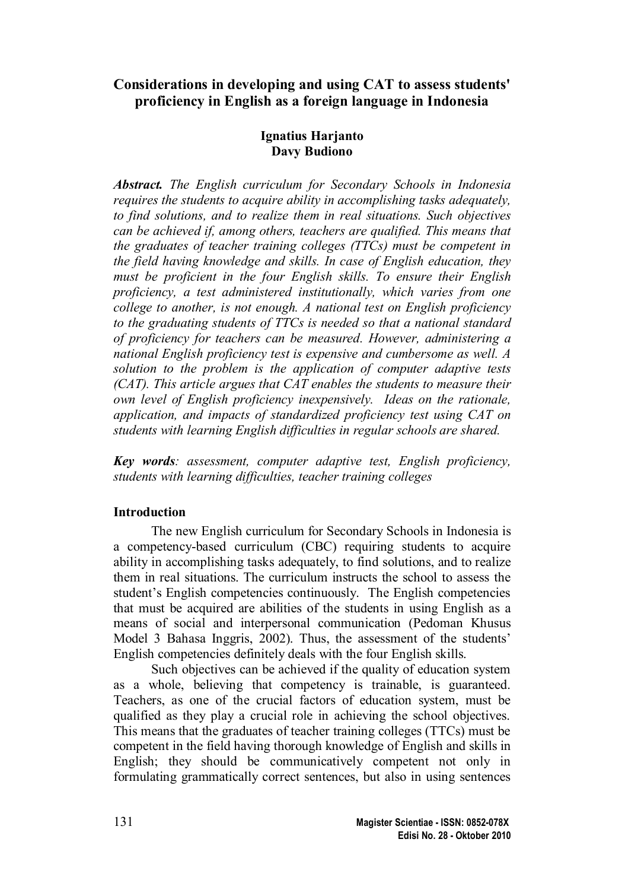# **Considerations in developing and using CAT to assess students' proficiency in English as a foreign language in Indonesia**

## **Ignatius Harjanto Davy Budiono**

*Abstract. The English curriculum for Secondary Schools in Indonesia requires the students to acquire ability in accomplishing tasks adequately, to find solutions, and to realize them in real situations. Such objectives can be achieved if, among others, teachers are qualified. This means that the graduates of teacher training colleges (TTCs) must be competent in the field having knowledge and skills. In case of English education, they must be proficient in the four English skills. To ensure their English proficiency, a test administered institutionally, which varies from one college to another, is not enough. A national test on English proficiency to the graduating students of TTCs is needed so that a national standard of proficiency for teachers can be measured. However, administering a national English proficiency test is expensive and cumbersome as well. A solution to the problem is the application of computer adaptive tests (CAT). This article argues that CAT enables the students to measure their own level of English proficiency inexpensively. Ideas on the rationale, application, and impacts of standardized proficiency test using CAT on students with learning English difficulties in regular schools are shared.*

*Key words: assessment, computer adaptive test, English proficiency, students with learning difficulties, teacher training colleges*

# **Introduction**

The new English curriculum for Secondary Schools in Indonesia is a competency-based curriculum (CBC) requiring students to acquire ability in accomplishing tasks adequately, to find solutions, and to realize them in real situations. The curriculum instructs the school to assess the student's English competencies continuously. The English competencies that must be acquired are abilities of the students in using English as a means of social and interpersonal communication (Pedoman Khusus Model 3 Bahasa Inggris, 2002). Thus, the assessment of the students' English competencies definitely deals with the four English skills.

Such objectives can be achieved if the quality of education system as a whole, believing that competency is trainable, is guaranteed. Teachers, as one of the crucial factors of education system, must be qualified as they play a crucial role in achieving the school objectives. This means that the graduates of teacher training colleges (TTCs) must be competent in the field having thorough knowledge of English and skills in English; they should be communicatively competent not only in formulating grammatically correct sentences, but also in using sentences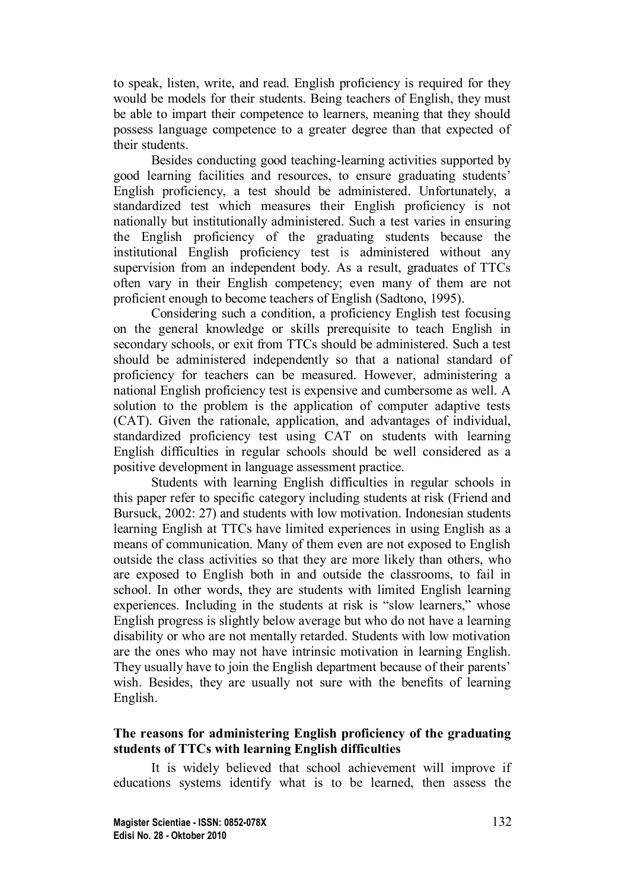to speak, listen, write, and read. English proficiency is required for they would be models for their students. Being teachers of English, they must be able to impart their competence to learners, meaning that they should possess language competence to a greater degree than that expected of their students.

Besides conducting good teaching-learning activities supported by good learning facilities and resources, to ensure graduating students' English proficiency, a test should be administered. Unfortunately, a standardized test which measures their English proficiency is not nationally but institutionally administered. Such a test varies in ensuring the English proficiency of the graduating students because the institutional English proficiency test is administered without any supervision from an independent body. As a result, graduates of TTCs often vary in their English competency; even many of them are not proficient enough to become teachers of English (Sadtono, 1995).

Considering such a condition, a proficiency English test focusing on the general knowledge or skills prerequisite to teach English in secondary schools, or exit from TTCs should be administered. Such a test should be administered independently so that a national standard of proficiency for teachers can be measured. However, administering a national English proficiency test is expensive and cumbersome as well. A solution to the problem is the application of computer adaptive tests (CAT). Given the rationale, application, and advantages of individual, standardized proficiency test using CAT on students with learning English difficulties in regular schools should be well considered as a positive development in language assessment practice.

Students with learning English difficulties in regular schools in this paper refer to specific category including students at risk (Friend and Bursuck, 2002: 27) and students with low motivation. Indonesian students learning English at TTCs have limited experiences in using English as a means of communication. Many of them even are not exposed to English outside the class activities so that they are more likely than others, who are exposed to English both in and outside the classrooms, to fail in school. In other words, they are students with limited English learning experiences. Including in the students at risk is "slow learners," whose English progress is slightly below average but who do not have a learning disability or who are not mentally retarded. Students with low motivation are the ones who may not have intrinsic motivation in learning English. They usually have to join the English department because of their parents' wish. Besides, they are usually not sure with the benefits of learning English.

## **The reasons for administering English proficiency of the graduating students of TTCs with learning English difficulties**

It is widely believed that school achievement will improve if educations systems identify what is to be learned, then assess the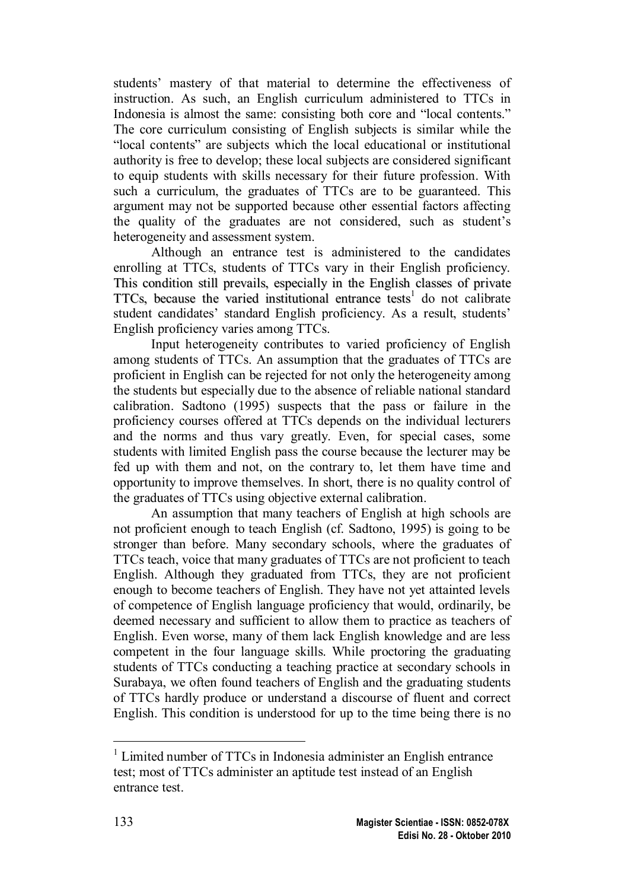students' mastery of that material to determine the effectiveness of instruction. As such, an English curriculum administered to TTCs in Indonesia is almost the same: consisting both core and "local contents." The core curriculum consisting of English subjects is similar while the "local contents" are subjects which the local educational or institutional authority is free to develop; these local subjects are considered significant to equip students with skills necessary for their future profession. With such a curriculum, the graduates of TTCs are to be guaranteed. This argument may not be supported because other essential factors affecting the quality of the graduates are not considered, such as student's heterogeneity and assessment system.

Although an entrance test is administered to the candidates enrolling at TTCs, students of TTCs vary in their English proficiency. This condition still prevails, especially in the English classes of private TTCs, because the varied institutional entrance tests<sup>1</sup> [d](#page-2-0)o not calibrate student candidates' standard English proficiency. As a result, students' English proficiency varies among TTCs.

Input heterogeneity contributes to varied proficiency of English among students of TTCs. An assumption that the graduates of TTCs are proficient in English can be rejected for not only the heterogeneity among the students but especially due to the absence of reliable national standard calibration. Sadtono (1995) suspects that the pass or failure in the proficiency courses offered at TTCs depends on the individual lecturers and the norms and thus vary greatly. Even, for special cases, some students with limited English pass the course because the lecturer may be fed up with them and not, on the contrary to, let them have time and opportunity to improve themselves. In short, there is no quality control of the graduates of TTCs using objective external calibration.

An assumption that many teachers of English at high schools are not proficient enough to teach English (cf. Sadtono, 1995) is going to be stronger than before. Many secondary schools, where the graduates of TTCs teach, voice that many graduates of TTCs are not proficient to teach English. Although they graduated from TTCs, they are not proficient enough to become teachers of English. They have not yet attainted levels of competence of English language proficiency that would, ordinarily, be deemed necessary and sufficient to allow them to practice as teachers of English. Even worse, many of them lack English knowledge and are less competent in the four language skills. While proctoring the graduating students of TTCs conducting a teaching practice at secondary schools in Surabaya, we often found teachers of English and the graduating students of TTCs hardly produce or understand a discourse of fluent and correct English. This condition is understood for up to the time being there is no

<span id="page-2-0"></span><sup>&</sup>lt;sup>1</sup> Limited number of TTCs in Indonesia administer an English entrance test; most of TTCs administer an aptitude test instead of an English entrance test.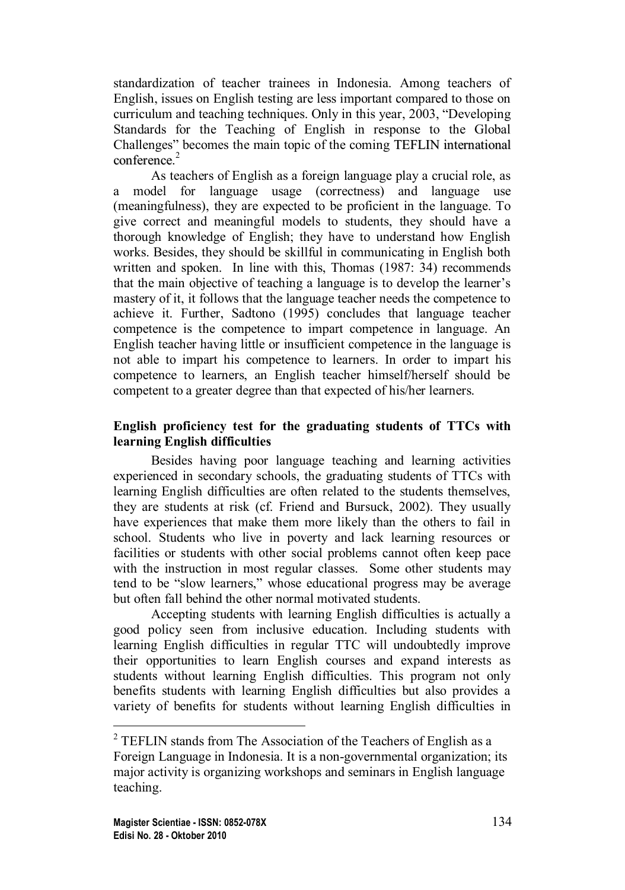standardization of teacher trainees in Indonesia. Among teachers of English, issues on English testing are less important compared to those on curriculum and teaching techniques. Only in this year, 2003, "Developing Standards for the Teaching of English in response to the Global Challenges" becomes the main topic of the coming TEFLIN international conference. [2](#page-3-0)

As teachers of English as a foreign language play a crucial role, as a model for language usage (correctness) and language use (meaningfulness), they are expected to be proficient in the language. To give correct and meaningful models to students, they should have a thorough knowledge of English; they have to understand how English works. Besides, they should be skillful in communicating in English both written and spoken. In line with this, Thomas (1987: 34) recommends that the main objective of teaching a language is to develop the learner's mastery of it, it follows that the language teacher needs the competence to achieve it. Further, Sadtono (1995) concludes that language teacher competence is the competence to impart competence in language. An English teacher having little or insufficient competence in the language is not able to impart his competence to learners. In order to impart his competence to learners, an English teacher himself/herself should be competent to a greater degree than that expected of his/her learners.

## **English proficiency test for the graduating students of TTCs with learning English difficulties**

Besides having poor language teaching and learning activities experienced in secondary schools, the graduating students of TTCs with learning English difficulties are often related to the students themselves, they are students at risk (cf. Friend and Bursuck, 2002). They usually have experiences that make them more likely than the others to fail in school. Students who live in poverty and lack learning resources or facilities or students with other social problems cannot often keep pace with the instruction in most regular classes. Some other students may tend to be "slow learners," whose educational progress may be average but often fall behind the other normal motivated students.

Accepting students with learning English difficulties is actually a good policy seen from inclusive education. Including students with learning English difficulties in regular TTC will undoubtedly improve their opportunities to learn English courses and expand interests as students without learning English difficulties. This program not only benefits students with learning English difficulties but also provides a variety of benefits for students without learning English difficulties in

<span id="page-3-0"></span> $2$  TEFLIN stands from The Association of the Teachers of English as a Foreign Language in Indonesia. It is a non-governmental organization; its major activity is organizing workshops and seminars in English language teaching.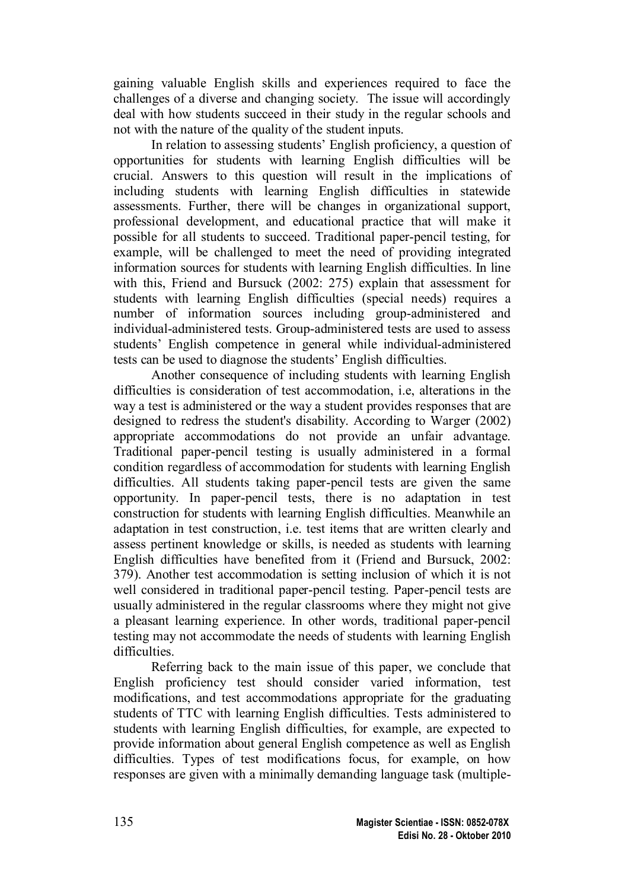gaining valuable English skills and experiences required to face the challenges of a diverse and changing society. The issue will accordingly deal with how students succeed in their study in the regular schools and not with the nature of the quality of the student inputs.

In relation to assessing students' English proficiency, a question of opportunities for students with learning English difficulties will be crucial. Answers to this question will result in the implications of including students with learning English difficulties in statewide assessments. Further, there will be changes in organizational support, professional development, and educational practice that will make it possible for all students to succeed. Traditional paper-pencil testing, for example, will be challenged to meet the need of providing integrated information sources for students with learning English difficulties. In line with this, Friend and Bursuck (2002: 275) explain that assessment for students with learning English difficulties (special needs) requires a number of information sources including group-administered and individual-administered tests. Group-administered tests are used to assess students' English competence in general while individual-administered tests can be used to diagnose the students' English difficulties.

Another consequence of including students with learning English difficulties is consideration of test accommodation, i.e, alterations in the way a test is administered or the way a student provides responses that are designed to redress the student's disability. According to Warger (2002) appropriate accommodations do not provide an unfair advantage. Traditional paper-pencil testing is usually administered in a formal condition regardless of accommodation for students with learning English difficulties. All students taking paper-pencil tests are given the same opportunity. In paper-pencil tests, there is no adaptation in test construction for students with learning English difficulties. Meanwhile an adaptation in test construction, i.e. test items that are written clearly and assess pertinent knowledge or skills, is needed as students with learning English difficulties have benefited from it (Friend and Bursuck, 2002: 379). Another test accommodation is setting inclusion of which it is not well considered in traditional paper-pencil testing. Paper-pencil tests are usually administered in the regular classrooms where they might not give a pleasant learning experience. In other words, traditional paper-pencil testing may not accommodate the needs of students with learning English difficulties.

Referring back to the main issue of this paper, we conclude that English proficiency test should consider varied information, test modifications, and test accommodations appropriate for the graduating students of TTC with learning English difficulties. Tests administered to students with learning English difficulties, for example, are expected to provide information about general English competence as well as English difficulties. Types of test modifications focus, for example, on how responses are given with a minimally demanding language task (multiple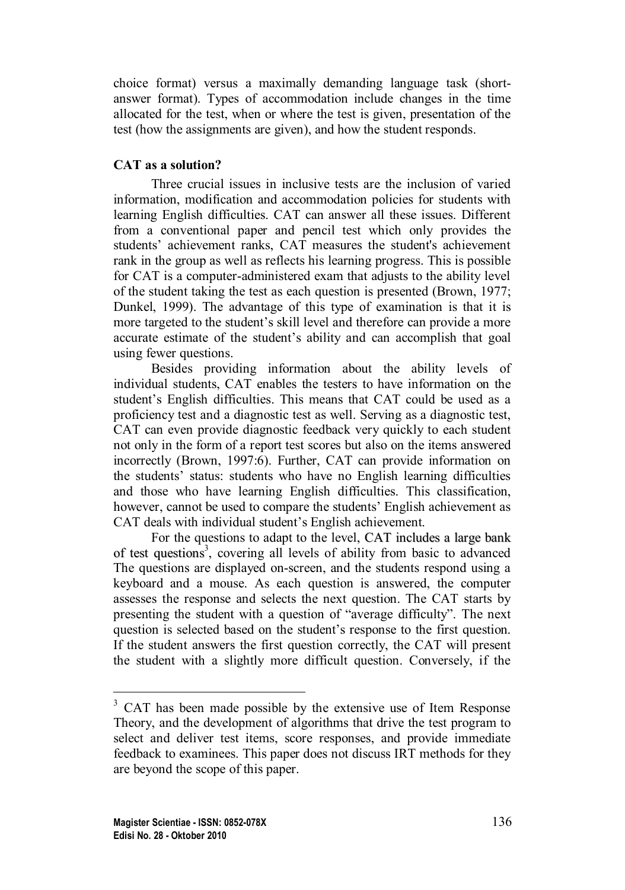choice format) versus a maximally demanding language task (shortanswer format). Types of accommodation include changes in the time allocated for the test, when or where the test is given, presentation of the test (how the assignments are given), and how the student responds.

## **CAT as a solution?**

Three crucial issues in inclusive tests are the inclusion of varied information, modification and accommodation policies for students with learning English difficulties. CAT can answer all these issues. Different from a conventional paper and pencil test which only provides the students' achievement ranks, CAT measures the student's achievement rank in the group as well as reflects his learning progress. This is possible for CAT is a computer-administered exam that adjusts to the ability level of the student taking the test as each question is presented (Brown, 1977; Dunkel, 1999). The advantage of this type of examination is that it is more targeted to the student's skill level and therefore can provide a more accurate estimate of the student's ability and can accomplish that goal using fewer questions.

Besides providing information about the ability levels of individual students, CAT enables the testers to have information on the student's English difficulties. This means that CAT could be used as a proficiency test and a diagnostic test as well. Serving as a diagnostic test, CAT can even provide diagnostic feedback very quickly to each student not only in the form of a report test scores but also on the items answered incorrectly (Brown, 1997:6). Further, CAT can provide information on the students' status: students who have no English learning difficulties and those who have learning English difficulties. This classification, however, cannot be used to compare the students' English achievement as CAT deals with individual student's English achievement.

For the questions to adapt to the level, CAT includes a large bank of test questions 3 [,](#page-5-0) covering all levels of ability from basic to advanced The questions are displayed on-screen, and the students respond using a keyboard and a mouse. As each question is answered, the computer assesses the response and selects the next question. The CAT starts by presenting the student with a question of "average difficulty". The next question is selected based on the student's response to the first question. If the student answers the first question correctly, the CAT will present the student with a slightly more difficult question. Conversely, if the

<span id="page-5-0"></span><sup>&</sup>lt;sup>3</sup> CAT has been made possible by the extensive use of Item Response Theory, and the development of algorithms that drive the test program to select and deliver test items, score responses, and provide immediate feedback to examinees. This paper does not discuss IRT methods for they are beyond the scope of this paper.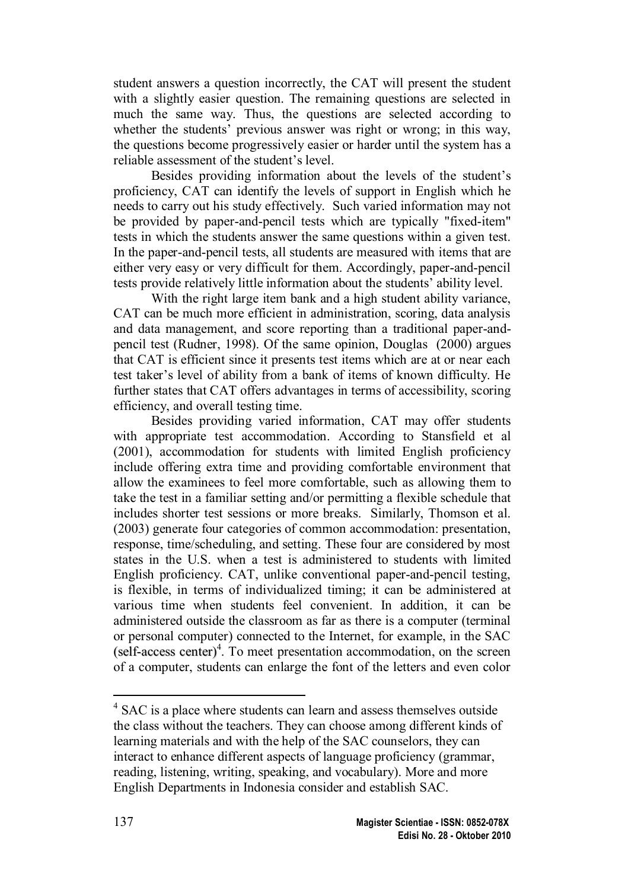student answers a question incorrectly, the CAT will present the student with a slightly easier question. The remaining questions are selected in much the same way. Thus, the questions are selected according to whether the students' previous answer was right or wrong; in this way, the questions become progressively easier or harder until the system has a reliable assessment of the student's level.

Besides providing information about the levels of the student's proficiency, CAT can identify the levels of support in English which he needs to carry out his study effectively. Such varied information may not be provided by paper-and-pencil tests which are typically "fixed-item" tests in which the students answer the same questions within a given test. In the paper-and-pencil tests, all students are measured with items that are either very easy or very difficult for them. Accordingly, paper-and-pencil tests provide relatively little information about the students' ability level.

With the right large item bank and a high student ability variance, CAT can be much more efficient in administration, scoring, data analysis and data management, and score reporting than a traditional paper-andpencil test (Rudner, 1998). Of the same opinion, Douglas (2000) argues that CAT is efficient since it presents test items which are at or near each test taker's level of ability from a bank of items of known difficulty. He further states that CAT offers advantages in terms of accessibility, scoring efficiency, and overall testing time.

Besides providing varied information, CAT may offer students with appropriate test accommodation. According to Stansfield et al (2001), accommodation for students with limited English proficiency include offering extra time and providing comfortable environment that allow the examinees to feel more comfortable, such as allowing them to take the test in a familiar setting and/or permitting a flexible schedule that includes shorter test sessions or more breaks. Similarly, Thomson et al. (2003) generate four categories of common accommodation: presentation, response, time/scheduling, and setting. These four are considered by most states in the U.S. when a test is administered to students with limited English proficiency. CAT, unlike conventional paper-and-pencil testing, is flexible, in terms of individualized timing; it can be administered at various time when students feel convenient. In addition, it can be administered outside the classroom as far as there is a computer (terminal or personal computer) connected to the Internet, for example, in the SAC (self-access center) 4 [.](#page-6-0) To meet presentation accommodation, on the screen of a computer, students can enlarge the font of the letters and even color

<span id="page-6-0"></span><sup>&</sup>lt;sup>4</sup> SAC is a place where students can learn and assess themselves outside the class without the teachers. They can choose among different kinds of learning materials and with the help of the SAC counselors, they can interact to enhance different aspects of language proficiency (grammar, reading, listening, writing, speaking, and vocabulary). More and more English Departments in Indonesia consider and establish SAC.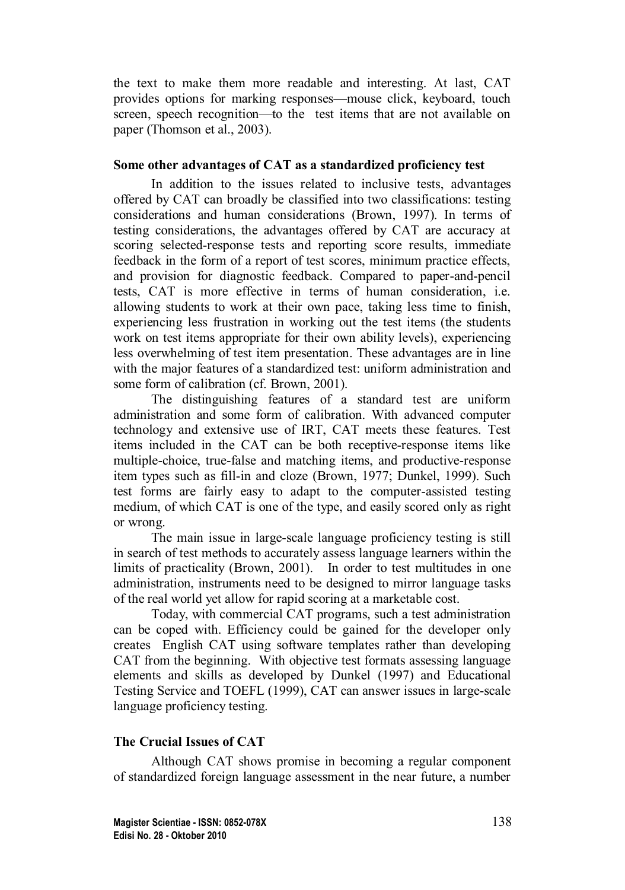the text to make them more readable and interesting. At last, CAT provides options for marking responses—mouse click, keyboard, touch screen, speech recognition—to the test items that are not available on paper (Thomson et al., 2003).

#### **Some other advantages of CAT as a standardized proficiency test**

In addition to the issues related to inclusive tests, advantages offered by CAT can broadly be classified into two classifications: testing considerations and human considerations (Brown, 1997). In terms of testing considerations, the advantages offered by CAT are accuracy at scoring selected-response tests and reporting score results, immediate feedback in the form of a report of test scores, minimum practice effects, and provision for diagnostic feedback. Compared to paper-and-pencil tests, CAT is more effective in terms of human consideration, i.e. allowing students to work at their own pace, taking less time to finish, experiencing less frustration in working out the test items (the students work on test items appropriate for their own ability levels), experiencing less overwhelming of test item presentation. These advantages are in line with the major features of a standardized test: uniform administration and some form of calibration (cf. Brown, 2001).

The distinguishing features of a standard test are uniform administration and some form of calibration. With advanced computer technology and extensive use of IRT, CAT meets these features. Test items included in the CAT can be both receptive-response items like multiple-choice, true-false and matching items, and productive-response item types such as fill-in and cloze (Brown, 1977; Dunkel, 1999). Such test forms are fairly easy to adapt to the computer-assisted testing medium, of which CAT is one of the type, and easily scored only as right or wrong.

The main issue in large-scale language proficiency testing is still in search of test methods to accurately assess language learners within the limits of practicality (Brown, 2001). In order to test multitudes in one administration, instruments need to be designed to mirror language tasks of the real world yet allow for rapid scoring at a marketable cost.

Today, with commercial CAT programs, such a test administration can be coped with. Efficiency could be gained for the developer only creates English CAT using software templates rather than developing CAT from the beginning. With objective test formats assessing language elements and skills as developed by Dunkel (1997) and Educational Testing Service and TOEFL (1999), CAT can answer issues in large-scale language proficiency testing.

#### **The Crucial Issues of CAT**

Although CAT shows promise in becoming a regular component of standardized foreign language assessment in the near future, a number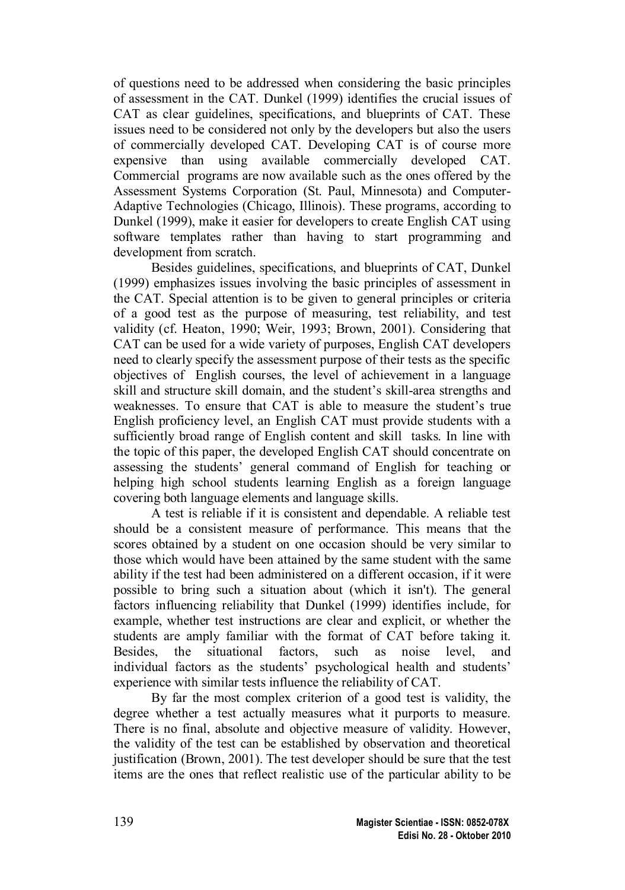of questions need to be addressed when considering the basic principles of assessment in the CAT. Dunkel (1999) identifies the crucial issues of CAT as clear guidelines, specifications, and blueprints of CAT. These issues need to be considered not only by the developers but also the users of commercially developed CAT. Developing CAT is of course more expensive than using available commercially developed CAT. Commercial programs are now available such as the ones offered by the Assessment Systems Corporation (St. Paul, Minnesota) and Computer-Adaptive Technologies (Chicago, Illinois). These programs, according to Dunkel (1999), make it easier for developers to create English CAT using software templates rather than having to start programming and development from scratch.

Besides guidelines, specifications, and blueprints of CAT, Dunkel (1999) emphasizes issues involving the basic principles of assessment in the CAT. Special attention is to be given to general principles or criteria of a good test as the purpose of measuring, test reliability, and test validity (cf. Heaton, 1990; Weir, 1993; Brown, 2001). Considering that CAT can be used for a wide variety of purposes, English CAT developers need to clearly specify the assessment purpose of their tests as the specific objectives of English courses, the level of achievement in a language skill and structure skill domain, and the student's skill-area strengths and weaknesses. To ensure that CAT is able to measure the student's true English proficiency level, an English CAT must provide students with a sufficiently broad range of English content and skill tasks. In line with the topic of this paper, the developed English CAT should concentrate on assessing the students' general command of English for teaching or helping high school students learning English as a foreign language covering both language elements and language skills.

A test is reliable if it is consistent and dependable. A reliable test should be a consistent measure of performance. This means that the scores obtained by a student on one occasion should be very similar to those which would have been attained by the same student with the same ability if the test had been administered on a different occasion, if it were possible to bring such a situation about (which it isn't). The general factors influencing reliability that Dunkel (1999) identifies include, for example, whether test instructions are clear and explicit, or whether the students are amply familiar with the format of CAT before taking it. Besides, the situational factors, such as noise level, and individual factors as the students' psychological health and students' experience with similar tests influence the reliability of CAT.

By far the most complex criterion of a good test is validity, the degree whether a test actually measures what it purports to measure. There is no final, absolute and objective measure of validity. However, the validity of the test can be established by observation and theoretical justification (Brown, 2001). The test developer should be sure that the test items are the ones that reflect realistic use of the particular ability to be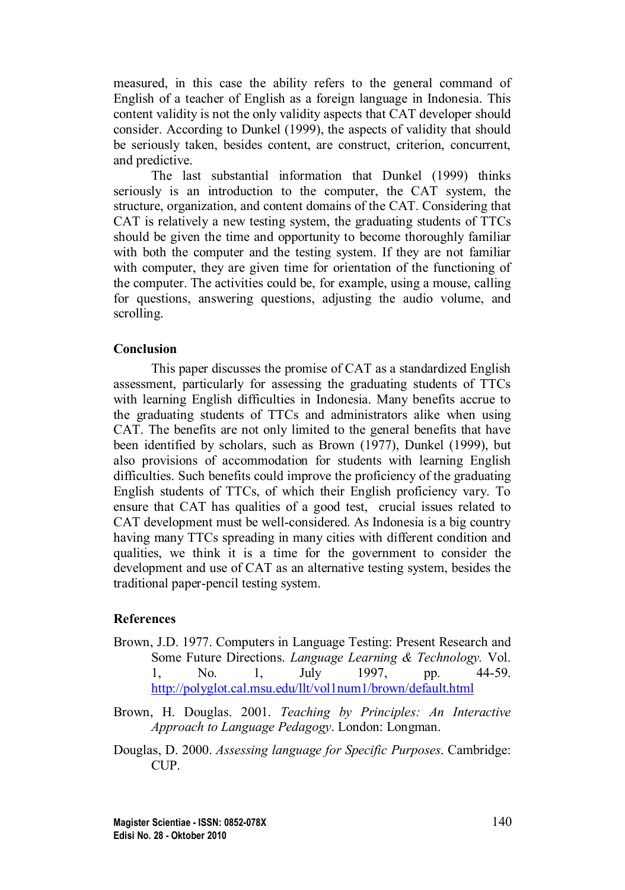measured, in this case the ability refers to the general command of English of a teacher of English as a foreign language in Indonesia. This content validity is not the only validity aspects that CAT developer should consider. According to Dunkel (1999), the aspects of validity that should be seriously taken, besides content, are construct, criterion, concurrent, and predictive.

The last substantial information that Dunkel (1999) thinks seriously is an introduction to the computer, the CAT system, the structure, organization, and content domains of the CAT. Considering that CAT is relatively a new testing system, the graduating students of TTCs should be given the time and opportunity to become thoroughly familiar with both the computer and the testing system. If they are not familiar with computer, they are given time for orientation of the functioning of the computer. The activities could be, for example, using a mouse, calling for questions, answering questions, adjusting the audio volume, and scrolling.

#### **Conclusion**

This paper discusses the promise of CAT as a standardized English assessment, particularly for assessing the graduating students of TTCs with learning English difficulties in Indonesia. Many benefits accrue to the graduating students of TTCs and administrators alike when using CAT. The benefits are not only limited to the general benefits that have been identified by scholars, such as Brown (1977), Dunkel (1999), but also provisions of accommodation for students with learning English difficulties. Such benefits could improve the proficiency of the graduating English students of TTCs, of which their English proficiency vary. To ensure that CAT has qualities of a good test, crucial issues related to CAT development must be well-considered. As Indonesia is a big country having many TTCs spreading in many cities with different condition and qualities, we think it is a time for the government to consider the development and use of CAT as an alternative testing system, besides the traditional paper-pencil testing system.

#### **References**

- Brown, J.D. 1977. Computers in Language Testing: Present Research and Some Future Directions. *Language Learning & Technology.* Vol. 1, No. 1, July 1997, pp. 44-59. <http://polyglot.cal.msu.edu/llt/vol1num1/brown/default.html>
- Brown, H. Douglas. 2001. *Teaching by Principles: An Interactive Approach to Language Pedagogy*. London: Longman.
- Douglas, D. 2000. *Assessing language for Specific Purposes*. Cambridge: CUP.